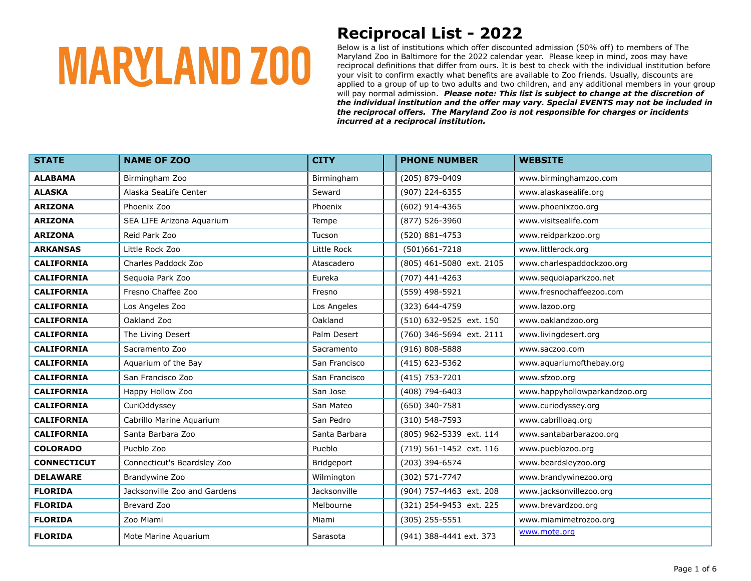### **Reciprocal List - 2022**

| <b>STATE</b>       | <b>NAME OF ZOO</b>           | <b>CITY</b>   | <b>PHONE NUMBER</b>      | <b>WEBSITE</b>                |
|--------------------|------------------------------|---------------|--------------------------|-------------------------------|
| <b>ALABAMA</b>     | Birmingham Zoo               | Birmingham    | (205) 879-0409           | www.birminghamzoo.com         |
| <b>ALASKA</b>      | Alaska SeaLife Center        | Seward        | (907) 224-6355           | www.alaskasealife.org         |
| <b>ARIZONA</b>     | Phoenix Zoo                  | Phoenix       | (602) 914-4365           | www.phoenixzoo.org            |
| <b>ARIZONA</b>     | SEA LIFE Arizona Aquarium    | Tempe         | (877) 526-3960           | www.visitsealife.com          |
| <b>ARIZONA</b>     | Reid Park Zoo                | Tucson        | (520) 881-4753           | www.reidparkzoo.org           |
| <b>ARKANSAS</b>    | Little Rock Zoo              | Little Rock   | $(501)661 - 7218$        | www.littlerock.org            |
| <b>CALIFORNIA</b>  | Charles Paddock Zoo          | Atascadero    | (805) 461-5080 ext. 2105 | www.charlespaddockzoo.org     |
| <b>CALIFORNIA</b>  | Sequoia Park Zoo             | Eureka        | (707) 441-4263           | www.sequoiaparkzoo.net        |
| <b>CALIFORNIA</b>  | Fresno Chaffee Zoo           | Fresno        | (559) 498-5921           | www.fresnochaffeezoo.com      |
| <b>CALIFORNIA</b>  | Los Angeles Zoo              | Los Angeles   | (323) 644-4759           | www.lazoo.org                 |
| <b>CALIFORNIA</b>  | Oakland Zoo                  | Oakland       | (510) 632-9525 ext. 150  | www.oaklandzoo.org            |
| <b>CALIFORNIA</b>  | The Living Desert            | Palm Desert   | (760) 346-5694 ext. 2111 | www.livingdesert.org          |
| <b>CALIFORNIA</b>  | Sacramento Zoo               | Sacramento    | $(916) 808 - 5888$       | www.saczoo.com                |
| <b>CALIFORNIA</b>  | Aguarium of the Bay          | San Francisco | (415) 623-5362           | www.aquariumofthebay.org      |
| <b>CALIFORNIA</b>  | San Francisco Zoo            | San Francisco | (415) 753-7201           | www.sfzoo.org                 |
| <b>CALIFORNIA</b>  | Happy Hollow Zoo             | San Jose      | (408) 794-6403           | www.happyhollowparkandzoo.org |
| <b>CALIFORNIA</b>  | CuriOddyssey                 | San Mateo     | (650) 340-7581           | www.curiodyssey.org           |
| <b>CALIFORNIA</b>  | Cabrillo Marine Aquarium     | San Pedro     | (310) 548-7593           | www.cabrilloag.org            |
| <b>CALIFORNIA</b>  | Santa Barbara Zoo            | Santa Barbara | (805) 962-5339 ext. 114  | www.santabarbarazoo.org       |
| <b>COLORADO</b>    | Pueblo Zoo                   | Pueblo        | (719) 561-1452 ext. 116  | www.pueblozoo.org             |
| <b>CONNECTICUT</b> | Connecticut's Beardsley Zoo  | Bridgeport    | (203) 394-6574           | www.beardsleyzoo.org          |
| <b>DELAWARE</b>    | Brandywine Zoo               | Wilmington    | (302) 571-7747           | www.brandywinezoo.org         |
| <b>FLORIDA</b>     | Jacksonville Zoo and Gardens | Jacksonville  | (904) 757-4463 ext. 208  | www.jacksonvillezoo.org       |
| <b>FLORIDA</b>     | Brevard Zoo                  | Melbourne     | (321) 254-9453 ext. 225  | www.brevardzoo.org            |
| <b>FLORIDA</b>     | Zoo Miami                    | Miami         | $(305)$ 255-5551         | www.miamimetrozoo.org         |
| <b>FLORIDA</b>     | Mote Marine Aquarium         | Sarasota      | (941) 388-4441 ext. 373  | www.mote.org                  |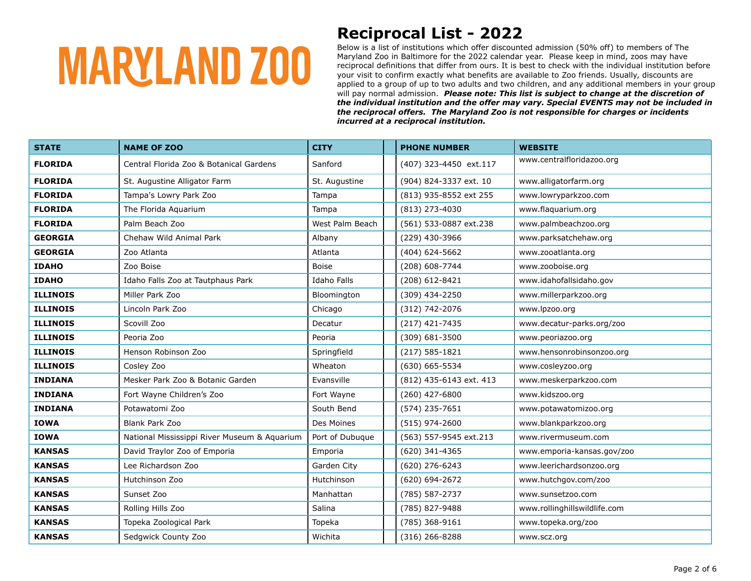### **Reciprocal List - 2022**

| <b>STATE</b>    | <b>NAME OF ZOO</b>                           | <b>CITY</b>     | <b>PHONE NUMBER</b>     | <b>WEBSITE</b>               |
|-----------------|----------------------------------------------|-----------------|-------------------------|------------------------------|
| <b>FLORIDA</b>  | Central Florida Zoo & Botanical Gardens      | Sanford         | (407) 323-4450 ext.117  | www.centralfloridazoo.org    |
| <b>FLORIDA</b>  | St. Augustine Alligator Farm                 | St. Augustine   | (904) 824-3337 ext. 10  | www.alligatorfarm.org        |
| <b>FLORIDA</b>  | Tampa's Lowry Park Zoo                       | Tampa           | (813) 935-8552 ext 255  | www.lowryparkzoo.com         |
| <b>FLORIDA</b>  | The Florida Aquarium                         | Tampa           | (813) 273-4030          | www.flaquarium.org           |
| <b>FLORIDA</b>  | Palm Beach Zoo                               | West Palm Beach | (561) 533-0887 ext.238  | www.palmbeachzoo.org         |
| <b>GEORGIA</b>  | Chehaw Wild Animal Park                      | Albany          | (229) 430-3966          | www.parksatchehaw.org        |
| <b>GEORGIA</b>  | Zoo Atlanta                                  | Atlanta         | (404) 624-5662          | www.zooatlanta.org           |
| <b>IDAHO</b>    | Zoo Boise                                    | Boise           | (208) 608-7744          | www.zooboise.org             |
| <b>IDAHO</b>    | Idaho Falls Zoo at Tautphaus Park            | Idaho Falls     | (208) 612-8421          | www.idahofallsidaho.gov      |
| <b>ILLINOIS</b> | Miller Park Zoo                              | Bloomington     | (309) 434-2250          | www.millerparkzoo.org        |
| <b>ILLINOIS</b> | Lincoln Park Zoo                             | Chicago         | (312) 742-2076          | www.lpzoo.org                |
| <b>ILLINOIS</b> | Scovill Zoo                                  | Decatur         | (217) 421-7435          | www.decatur-parks.org/zoo    |
| <b>ILLINOIS</b> | Peoria Zoo                                   | Peoria          | (309) 681-3500          | www.peoriazoo.org            |
| <b>ILLINOIS</b> | Henson Robinson Zoo                          | Springfield     | $(217) 585 - 1821$      | www.hensonrobinsonzoo.org    |
| <b>ILLINOIS</b> | Cosley Zoo                                   | Wheaton         | (630) 665-5534          | www.cosleyzoo.org            |
| <b>INDIANA</b>  | Mesker Park Zoo & Botanic Garden             | Evansville      | (812) 435-6143 ext. 413 | www.meskerparkzoo.com        |
| <b>INDIANA</b>  | Fort Wayne Children's Zoo                    | Fort Wayne      | (260) 427-6800          | www.kidszoo.org              |
| <b>INDIANA</b>  | Potawatomi Zoo                               | South Bend      | (574) 235-7651          | www.potawatomizoo.org        |
| <b>IOWA</b>     | Blank Park Zoo                               | Des Moines      | (515) 974-2600          | www.blankparkzoo.org         |
| <b>IOWA</b>     | National Mississippi River Museum & Aquarium | Port of Dubuque | (563) 557-9545 ext.213  | www.rivermuseum.com          |
| <b>KANSAS</b>   | David Traylor Zoo of Emporia                 | Emporia         | (620) 341-4365          | www.emporia-kansas.gov/zoo   |
| <b>KANSAS</b>   | Lee Richardson Zoo                           | Garden City     | (620) 276-6243          | www.leerichardsonzoo.org     |
| <b>KANSAS</b>   | Hutchinson Zoo                               | Hutchinson      | (620) 694-2672          | www.hutchgov.com/zoo         |
| <b>KANSAS</b>   | Sunset Zoo                                   | Manhattan       | (785) 587-2737          | www.sunsetzoo.com            |
| <b>KANSAS</b>   | Rolling Hills Zoo                            | Salina          | (785) 827-9488          | www.rollinghillswildlife.com |
| <b>KANSAS</b>   | Topeka Zoological Park                       | Topeka          | (785) 368-9161          | www.topeka.org/zoo           |
| <b>KANSAS</b>   | Sedgwick County Zoo                          | Wichita         | $(316)$ 266-8288        | www.scz.org                  |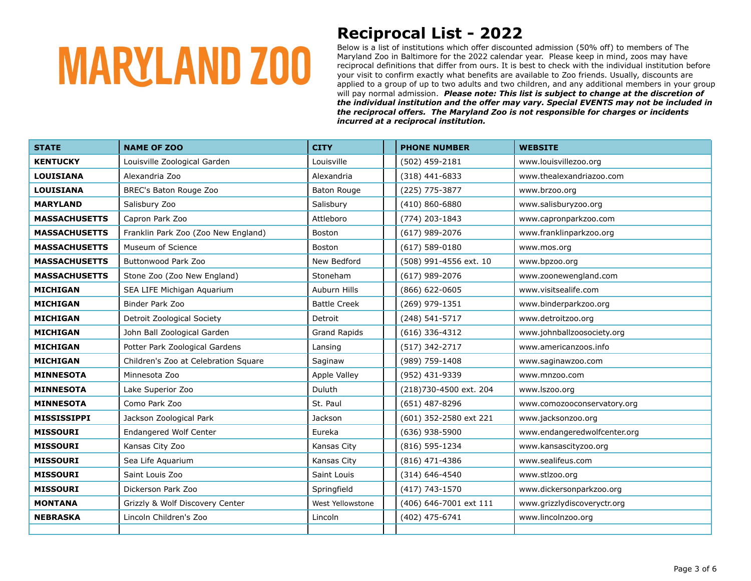### **Reciprocal List - 2022**

| <b>STATE</b>         | <b>NAME OF ZOO</b>                   | <b>CITY</b>         | <b>PHONE NUMBER</b>    | <b>WEBSITE</b>               |
|----------------------|--------------------------------------|---------------------|------------------------|------------------------------|
| <b>KENTUCKY</b>      | Louisville Zoological Garden         | Louisville          | (502) 459-2181         | www.louisvillezoo.org        |
| <b>LOUISIANA</b>     | Alexandria Zoo                       | Alexandria          | $(318)$ 441-6833       | www.thealexandriazoo.com     |
| <b>LOUISIANA</b>     | BREC's Baton Rouge Zoo               | Baton Rouge         | (225) 775-3877         | www.brzoo.org                |
| <b>MARYLAND</b>      | Salisbury Zoo                        | Salisbury           | (410) 860-6880         | www.salisburyzoo.org         |
| <b>MASSACHUSETTS</b> | Capron Park Zoo                      | Attleboro           | (774) 203-1843         | www.capronparkzoo.com        |
| <b>MASSACHUSETTS</b> | Franklin Park Zoo (Zoo New England)  | Boston              | $(617)$ 989-2076       | www.franklinparkzoo.org      |
| <b>MASSACHUSETTS</b> | Museum of Science                    | Boston              | $(617)$ 589-0180       | www.mos.org                  |
| <b>MASSACHUSETTS</b> | <b>Buttonwood Park Zoo</b>           | New Bedford         | (508) 991-4556 ext. 10 | www.bpzoo.org                |
| <b>MASSACHUSETTS</b> | Stone Zoo (Zoo New England)          | Stoneham            | (617) 989-2076         | www.zoonewengland.com        |
| <b>MICHIGAN</b>      | SEA LIFE Michigan Aguarium           | Auburn Hills        | (866) 622-0605         | www.visitsealife.com         |
| <b>MICHIGAN</b>      | Binder Park Zoo                      | <b>Battle Creek</b> | (269) 979-1351         | www.binderparkzoo.org        |
| <b>MICHIGAN</b>      | Detroit Zoological Society           | Detroit             | (248) 541-5717         | www.detroitzoo.org           |
| <b>MICHIGAN</b>      | John Ball Zoological Garden          | <b>Grand Rapids</b> | $(616)$ 336-4312       | www.johnballzoosociety.org   |
| <b>MICHIGAN</b>      | Potter Park Zoological Gardens       | Lansing             | (517) 342-2717         | www.americanzoos.info        |
| <b>MICHIGAN</b>      | Children's Zoo at Celebration Square | Saginaw             | (989) 759-1408         | www.saginawzoo.com           |
| <b>MINNESOTA</b>     | Minnesota Zoo                        | Apple Valley        | (952) 431-9339         | www.mnzoo.com                |
| <b>MINNESOTA</b>     | Lake Superior Zoo                    | Duluth              | (218)730-4500 ext. 204 | www.lszoo.org                |
| <b>MINNESOTA</b>     | Como Park Zoo                        | St. Paul            | (651) 487-8296         | www.comozooconservatory.org  |
| MISSISSIPPI          | Jackson Zoological Park              | Jackson             | (601) 352-2580 ext 221 | www.jacksonzoo.org           |
| <b>MISSOURI</b>      | Endangered Wolf Center               | Eureka              | (636) 938-5900         | www.endangeredwolfcenter.org |
| <b>MISSOURI</b>      | Kansas City Zoo                      | Kansas City         | (816) 595-1234         | www.kansascityzoo.org        |
| <b>MISSOURI</b>      | Sea Life Aquarium                    | Kansas City         | (816) 471-4386         | www.sealifeus.com            |
| <b>MISSOURI</b>      | Saint Louis Zoo                      | Saint Louis         | $(314) 646 - 4540$     | www.stlzoo.org               |
| <b>MISSOURI</b>      | Dickerson Park Zoo                   | Springfield         | (417) 743-1570         | www.dickersonparkzoo.org     |
| <b>MONTANA</b>       | Grizzly & Wolf Discovery Center      | West Yellowstone    | (406) 646-7001 ext 111 | www.grizzlydiscoveryctr.org  |
| <b>NEBRASKA</b>      | Lincoln Children's Zoo               | Lincoln             | (402) 475-6741         | www.lincolnzoo.org           |
|                      |                                      |                     |                        |                              |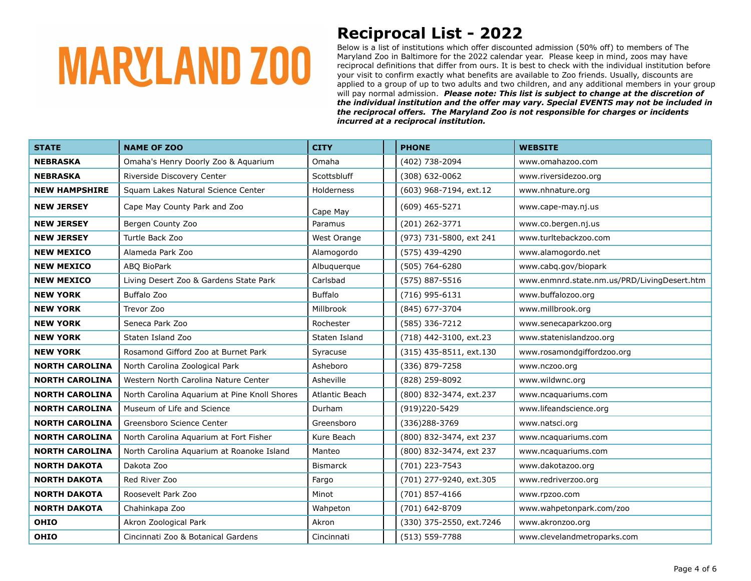### **Reciprocal List - 2022**

| <b>STATE</b>          | <b>NAME OF ZOO</b>                           | <b>CITY</b>           | <b>PHONE</b>             | <b>WEBSITE</b>                              |
|-----------------------|----------------------------------------------|-----------------------|--------------------------|---------------------------------------------|
| <b>NEBRASKA</b>       | Omaha's Henry Doorly Zoo & Aquarium          | Omaha                 | (402) 738-2094           | www.omahazoo.com                            |
| <b>NEBRASKA</b>       | Riverside Discovery Center                   | Scottsbluff           | $(308) 632 - 0062$       | www.riversidezoo.org                        |
| <b>NEW HAMPSHIRE</b>  | Squam Lakes Natural Science Center           | Holderness            | (603) 968-7194, ext.12   | www.nhnature.org                            |
| <b>NEW JERSEY</b>     | Cape May County Park and Zoo                 | Cape May              | (609) 465-5271           | www.cape-may.nj.us                          |
| <b>NEW JERSEY</b>     | Bergen County Zoo                            | Paramus               | (201) 262-3771           | www.co.bergen.nj.us                         |
| <b>NEW JERSEY</b>     | Turtle Back Zoo                              | West Orange           | (973) 731-5800, ext 241  | www.turltebackzoo.com                       |
| <b>NEW MEXICO</b>     | Alameda Park Zoo                             | Alamogordo            | (575) 439-4290           | www.alamogordo.net                          |
| <b>NEW MEXICO</b>     | ABO BioPark                                  | Albuguergue           | (505) 764-6280           | www.cabq.gov/biopark                        |
| <b>NEW MEXICO</b>     | Living Desert Zoo & Gardens State Park       | Carlsbad              | (575) 887-5516           | www.enmnrd.state.nm.us/PRD/LivingDesert.htm |
| <b>NEW YORK</b>       | Buffalo Zoo                                  | <b>Buffalo</b>        | $(716)$ 995-6131         | www.buffalozoo.org                          |
| <b>NEW YORK</b>       | Trevor Zoo                                   | Millbrook             | (845) 677-3704           | www.millbrook.org                           |
| <b>NEW YORK</b>       | Seneca Park Zoo                              | Rochester             | (585) 336-7212           | www.senecaparkzoo.org                       |
| <b>NEW YORK</b>       | Staten Island Zoo                            | Staten Island         | (718) 442-3100, ext.23   | www.statenislandzoo.org                     |
| <b>NEW YORK</b>       | Rosamond Gifford Zoo at Burnet Park          | Syracuse              | (315) 435-8511, ext.130  | www.rosamondgiffordzoo.org                  |
| <b>NORTH CAROLINA</b> | North Carolina Zoological Park               | Asheboro              | (336) 879-7258           | www.nczoo.org                               |
| <b>NORTH CAROLINA</b> | Western North Carolina Nature Center         | Asheville             | (828) 259-8092           | www.wildwnc.org                             |
| <b>NORTH CAROLINA</b> | North Carolina Aguarium at Pine Knoll Shores | <b>Atlantic Beach</b> | (800) 832-3474, ext.237  | www.ncaquariums.com                         |
| <b>NORTH CAROLINA</b> | Museum of Life and Science                   | Durham                | (919)220-5429            | www.lifeandscience.org                      |
| <b>NORTH CAROLINA</b> | Greensboro Science Center                    | Greensboro            | (336)288-3769            | www.natsci.org                              |
| <b>NORTH CAROLINA</b> | North Carolina Aquarium at Fort Fisher       | Kure Beach            | (800) 832-3474, ext 237  | www.ncaquariums.com                         |
| <b>NORTH CAROLINA</b> | North Carolina Aquarium at Roanoke Island    | Manteo                | (800) 832-3474, ext 237  | www.ncaquariums.com                         |
| <b>NORTH DAKOTA</b>   | Dakota Zoo                                   | <b>Bismarck</b>       | (701) 223-7543           | www.dakotazoo.org                           |
| <b>NORTH DAKOTA</b>   | Red River Zoo                                | Fargo                 | (701) 277-9240, ext.305  | www.redriverzoo.org                         |
| <b>NORTH DAKOTA</b>   | Roosevelt Park Zoo                           | Minot                 | (701) 857-4166           | www.rpzoo.com                               |
| <b>NORTH DAKOTA</b>   | Chahinkapa Zoo                               | Wahpeton              | (701) 642-8709           | www.wahpetonpark.com/zoo                    |
| <b>OHIO</b>           | Akron Zoological Park                        | Akron                 | (330) 375-2550, ext.7246 | www.akronzoo.org                            |
| <b>OHIO</b>           | Cincinnati Zoo & Botanical Gardens           | Cincinnati            | $(513) 559 - 7788$       | www.clevelandmetroparks.com                 |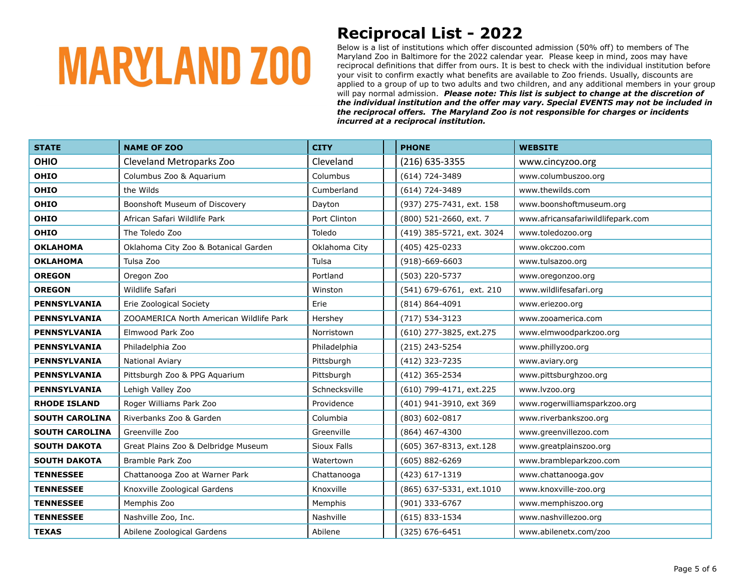### **Reciprocal List - 2022**

| <b>STATE</b>          | <b>NAME OF ZOO</b>                      | <b>CITY</b>   | <b>PHONE</b>              | <b>WEBSITE</b>                    |
|-----------------------|-----------------------------------------|---------------|---------------------------|-----------------------------------|
| <b>OHIO</b>           | Cleveland Metroparks Zoo                | Cleveland     | (216) 635-3355            | www.cincyzoo.org                  |
| <b>OHIO</b>           | Columbus Zoo & Aquarium                 | Columbus      | (614) 724-3489            | www.columbuszoo.org               |
| <b>OHIO</b>           | the Wilds                               | Cumberland    | (614) 724-3489            | www.thewilds.com                  |
| <b>OHIO</b>           | Boonshoft Museum of Discovery           | Dayton        | (937) 275-7431, ext. 158  | www.boonshoftmuseum.org           |
| <b>OHIO</b>           | African Safari Wildlife Park            | Port Clinton  | (800) 521-2660, ext. 7    | www.africansafariwildlifepark.com |
| OHIO                  | The Toledo Zoo                          | Toledo        | (419) 385-5721, ext. 3024 | www.toledozoo.org                 |
| <b>OKLAHOMA</b>       | Oklahoma City Zoo & Botanical Garden    | Oklahoma City | (405) 425-0233            | www.okczoo.com                    |
| <b>OKLAHOMA</b>       | Tulsa Zoo                               | Tulsa         | $(918) - 669 - 6603$      | www.tulsazoo.org                  |
| <b>OREGON</b>         | Oregon Zoo                              | Portland      | (503) 220-5737            | www.oregonzoo.org                 |
| <b>OREGON</b>         | Wildlife Safari                         | Winston       | (541) 679-6761, ext. 210  | www.wildlifesafari.org            |
| <b>PENNSYLVANIA</b>   | Erie Zoological Society                 | Erie          | $(814) 864 - 4091$        | www.eriezoo.org                   |
| <b>PENNSYLVANIA</b>   | ZOOAMERICA North American Wildlife Park | Hershey       | (717) 534-3123            | www.zooamerica.com                |
| <b>PENNSYLVANIA</b>   | Elmwood Park Zoo                        | Norristown    | (610) 277-3825, ext.275   | www.elmwoodparkzoo.org            |
| PENNSYLVANIA          | Philadelphia Zoo                        | Philadelphia  | (215) 243-5254            | www.phillyzoo.org                 |
| <b>PENNSYLVANIA</b>   | National Aviary                         | Pittsburgh    | (412) 323-7235            | www.aviary.org                    |
| <b>PENNSYLVANIA</b>   | Pittsburgh Zoo & PPG Aquarium           | Pittsburgh    | (412) 365-2534            | www.pittsburghzoo.org             |
| <b>PENNSYLVANIA</b>   | Lehigh Valley Zoo                       | Schnecksville | (610) 799-4171, ext.225   | www.lvzoo.org                     |
| <b>RHODE ISLAND</b>   | Roger Williams Park Zoo                 | Providence    | (401) 941-3910, ext 369   | www.rogerwilliamsparkzoo.org      |
| <b>SOUTH CAROLINA</b> | Riverbanks Zoo & Garden                 | Columbia      | (803) 602-0817            | www.riverbankszoo.org             |
| <b>SOUTH CAROLINA</b> | Greenville Zoo                          | Greenville    | (864) 467-4300            | www.greenvillezoo.com             |
| <b>SOUTH DAKOTA</b>   | Great Plains Zoo & Delbridge Museum     | Sioux Falls   | (605) 367-8313, ext.128   | www.greatplainszoo.org            |
| <b>SOUTH DAKOTA</b>   | Bramble Park Zoo                        | Watertown     | $(605) 882 - 6269$        | www.brambleparkzoo.com            |
| <b>TENNESSEE</b>      | Chattanooga Zoo at Warner Park          | Chattanooga   | (423) 617-1319            | www.chattanooga.gov               |
| <b>TENNESSEE</b>      | Knoxville Zoological Gardens            | Knoxville     | (865) 637-5331, ext.1010  | www.knoxville-zoo.org             |
| <b>TENNESSEE</b>      | Memphis Zoo                             | Memphis       | (901) 333-6767            | www.memphiszoo.org                |
| <b>TENNESSEE</b>      | Nashville Zoo, Inc.                     | Nashville     | (615) 833-1534            | www.nashvillezoo.org              |
| <b>TEXAS</b>          | Abilene Zoological Gardens              | Abilene       | (325) 676-6451            | www.abilenetx.com/zoo             |